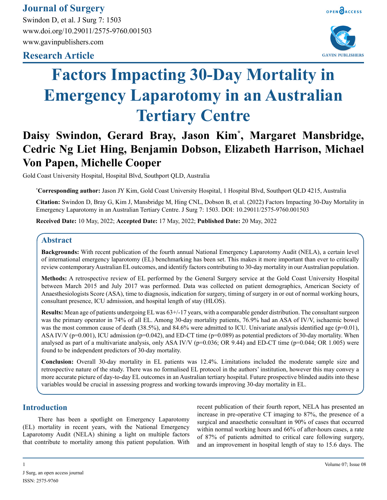## **Journal of Surgery**

Swindon D, et al. J Surg 7: 1503 www.doi.org/10.29011/2575-9760.001503 www.gavinpublishers.com

### **Research Article**





# **Factors Impacting 30-Day Mortality in Emergency Laparotomy in an Australian Tertiary Centre**

# **Daisy Swindon, Gerard Bray, Jason Kim\* , Margaret Mansbridge, Cedric Ng Liet Hing, Benjamin Dobson, Elizabeth Harrison, Michael Von Papen, Michelle Cooper**

Gold Coast University Hospital, Hospital Blvd, Southport QLD, Australia

**\* Corresponding author:** Jason JY Kim, Gold Coast University Hospital, 1 Hospital Blvd, Southport QLD 4215, Australia

**Citation:** Swindon D, Bray G, Kim J, Mansbridge M, Hing CNL, Dobson B, et al. (2022) Factors Impacting 30-Day Mortality in Emergency Laparotomy in an Australian Tertiary Centre. J Surg 7: 1503. DOI: 10.29011/2575-9760.001503

**Received Date:** 10 May, 2022; **Accepted Date:** 17 May, 2022; **Published Date:** 20 May, 2022

#### **Abstract**

**Backgrounds:** With recent publication of the fourth annual National Emergency Laparotomy Audit (NELA), a certain level of international emergency laparotomy (EL) benchmarking has been set. This makes it more important than ever to critically review contemporary Australian EL outcomes, and identify factors contributing to 30-day mortality in our Australian population.

**Methods:** A retrospective review of EL performed by the General Surgery service at the Gold Coast University Hospital between March 2015 and July 2017 was performed. Data was collected on patient demographics, American Society of Anaesthesiologists Score (ASA), time to diagnosis, indication for surgery, timing of surgery in or out of normal working hours, consultant presence, ICU admission, and hospital length of stay (HLOS).

**Results:** Mean age of patients undergoing EL was 63+/-17 years, with a comparable gender distribution. The consultant surgeon was the primary operator in 74% of all EL. Among 30-day mortality patients, 76.9% had an ASA of IV/V, ischaemic bowel was the most common cause of death  $(38.5\%)$ , and  $84.6\%$  were admitted to ICU. Univariate analysis identified age (p=0.01), ASA IV/V ( $p=0.001$ ), ICU admission ( $p=0.042$ ), and ED-CT time ( $p=0.089$ ) as potential predictors of 30-day mortality. When analysed as part of a multivariate analysis, only ASA IV/V ( $p=0.036$ ; OR 9.44) and ED-CT time ( $p=0.044$ ; OR 1.005) were found to be independent predictors of 30-day mortality.

**Conclusion:** Overall 30-day mortality in EL patients was 12.4%. Limitations included the moderate sample size and retrospective nature of the study. There was no formalised EL protocol in the authors' institution, however this may convey a more accurate picture of day-to-day EL outcomes in an Australian tertiary hospital. Future prospective blinded audits into these variables would be crucial in assessing progress and working towards improving 30-day mortality in EL.

#### **Introduction**

There has been a spotlight on Emergency Laparotomy (EL) mortality in recent years, with the National Emergency Laparotomy Audit (NELA) shining a light on multiple factors that contribute to mortality among this patient population. With

recent publication of their fourth report, NELA has presented an increase in pre-operative CT imaging to 87%, the presence of a surgical and anaesthetic consultant in 90% of cases that occurred within normal working hours and 66% of after-hours cases, a rate of 87% of patients admitted to critical care following surgery, and an improvement in hospital length of stay to 15.6 days. The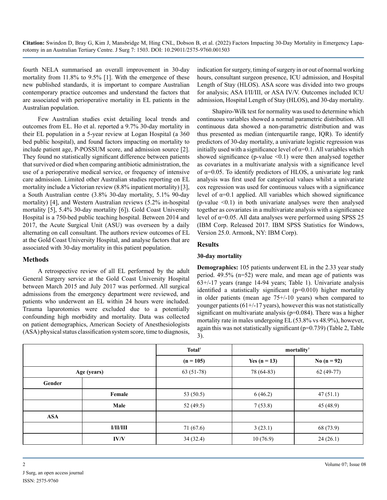fourth NELA summarised an overall improvement in 30-day mortality from 11.8% to 9.5% [1]. With the emergence of these new published standards, it is important to compare Australian contemporary practice outcomes and understand the factors that are associated with perioperative mortality in EL patients in the Australian population.

Few Australian studies exist detailing local trends and outcomes from EL. Ho et al. reported a 9.7% 30-day mortality in their EL population in a 5-year review at Logan Hospital (a 360 bed public hospital), and found factors impacting on mortality to include patient age, P-POSSUM score, and admission source [2]. They found no statistically significant difference between patients that survived or died when comparing antibiotic administration, the use of a perioperative medical service, or frequency of intensive care admission. Limited other Australian studies reporting on EL mortality include a Victorian review (8.8% inpatient mortality) [3], a South Australian centre (3.8% 30-day mortality, 5.1% 90-day mortality) [4], and Western Australian reviews (5.2% in-hospital mortality [5], 5.4% 30-day mortality [6]). Gold Coast University Hospital is a 750-bed public teaching hospital. Between 2014 and 2017, the Acute Surgical Unit (ASU) was overseen by a daily alternating on call consultant. The authors review outcomes of EL at the Gold Coast University Hospital, and analyse factors that are associated with 30-day mortality in this patient population.

#### **Methods**

A retrospective review of all EL performed by the adult General Surgery service at the Gold Coast University Hospital between March 2015 and July 2017 was performed. All surgical admissions from the emergency department were reviewed, and patients who underwent an EL within 24 hours were included. Trauma laparotomies were excluded due to a potentially confounding high morbidity and mortality. Data was collected on patient demographics, American Society of Anesthesiologists (ASA) physical status classification system score, time to diagnosis, indication for surgery, timing of surgery in or out of normal working hours, consultant surgeon presence, ICU admission, and Hospital Length of Stay (HLOS). ASA score was divided into two groups for analysis; ASA I/II/III, or ASA IV/V. Outcomes included ICU admission, Hospital Length of Stay (HLOS), and 30-day mortality.

Shapiro-Wilk test for normality was used to determine which continuous variables showed a normal parametric distribution. All continuous data showed a non-parametric distribution and was thus presented as median (interquartile range, IQR). To identify predictors of 30-day mortality, a univariate logistic regression was initially used with a significance level of  $\alpha=0.1$ . All variables which showed significance (p-value  $\leq 0.1$ ) were then analysed together as covariates in a multivariate analysis with a significance level of  $\alpha$ =0.05. To identify predictors of HLOS, a univariate log rank analysis was first used for categorical values whilst a univariate cox regression was used for continuous values with a significance level of  $\alpha=0.1$  applied. All variables which showed significance  $(p-value < 0.1)$  in both univariate analyses were then analysed together as covariates in a multivariate analysis with a significance level of  $α=0.05$ . All data analyses were performed using SPSS 25 (IBM Corp. Released 2017. IBM SPSS Statistics for Windows, Version 25.0. Armonk, NY: IBM Corp).

#### **Results**

#### **30-day mortality**

**Demographics:** 105 patients underwent EL in the 2.33 year study period. 49.5% (n=52) were male, and mean age of patients was 63+/-17 years (range 14-94 years; Table 1). Univariate analysis identified a statistically significant (p=0.010) higher mortality in older patients (mean age 75+/-10 years) when compared to younger patients  $(61+/17 \text{ years})$ , however this was not statistically significant on multivariate analysis (p=0.084). There was a higher mortality rate in males undergoing EL (53.8% vs 48.9%), however, again this was not statistically significant (p=0.739) (Table 2, Table 3).

|             |                 | <b>Total</b> <sup>†</sup> |                | mortality     |
|-------------|-----------------|---------------------------|----------------|---------------|
|             |                 | $(n = 105)$               | Yes $(n = 13)$ | No $(n = 92)$ |
| Age (years) |                 | $63(51-78)$               | 78 (64-83)     | $62(49-77)$   |
| Gender      |                 |                           |                |               |
|             | Female          | 53 (50.5)                 | 6(46.2)        | 47(51.1)      |
|             | Male            | 52 $(49.5)$               | 7(53.8)        | 45(48.9)      |
| <b>ASA</b>  |                 |                           |                |               |
|             | <b>I/II/III</b> | 71 (67.6)                 | 3(23.1)        | 68 (73.9)     |
|             | IV/V            | 34(32.4)                  | 10(76.9)       | 24(26.1)      |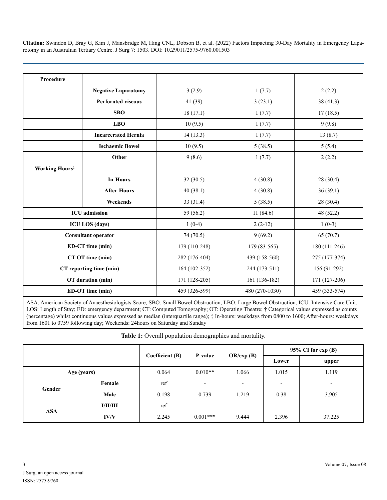| Procedure                         |                            |               |                |               |
|-----------------------------------|----------------------------|---------------|----------------|---------------|
|                                   | <b>Negative Laparotomy</b> | 3(2.9)        | 1(7.7)         | 2(2.2)        |
|                                   | <b>Perforated viscous</b>  | 41(39)        | 3(23.1)        | 38(41.3)      |
|                                   | <b>SBO</b>                 | 18(17.1)      | 1(7.7)         | 17(18.5)      |
|                                   | <b>LBO</b>                 | 10(9.5)       | 1(7.7)         | 9(9.8)        |
|                                   | <b>Incarcerated Hernia</b> | 14(13.3)      | 1(7.7)         | 13(8.7)       |
|                                   | <b>Ischaemic Bowel</b>     | 10(9.5)       | 5(38.5)        | 5(5.4)        |
|                                   | Other                      | 9(8.6)        | 1(7.7)         | 2(2.2)        |
| <b>Working Hours</b> <sup>‡</sup> |                            |               |                |               |
|                                   | <b>In-Hours</b>            | 32(30.5)      | 4(30.8)        | 28(30.4)      |
|                                   | <b>After-Hours</b>         | 40(38.1)      | 4(30.8)        | 36(39.1)      |
|                                   | Weekends                   | 33 (31.4)     | 5(38.5)        | 28 (30.4)     |
|                                   | <b>ICU</b> admission       |               | 11(84.6)       | 48 (52.2)     |
|                                   | <b>ICU LOS</b> (days)      | $1(0-4)$      | $2(2-12)$      | $1(0-3)$      |
|                                   | <b>Consultant operator</b> | 74 (70.5)     | 9(69.2)        | 65(70.7)      |
|                                   | ED-CT time (min)           | 179 (110-248) | 179 (83-565)   | 180 (111-246) |
| CT-OT time (min)                  |                            | 282 (176-404) | 439 (158-560)  | 275 (177-374) |
| CT reporting time (min)           |                            | 164 (102-352) | 244 (173-511)  | 156 (91-292)  |
|                                   | OT duration (min)          | 171 (128-205) | 161 (136-182)  | 171 (127-206) |
|                                   | ED-OT time (min)           | 459 (326-599) | 480 (270-1030) | 459 (333-574) |

ASA: American Society of Anaesthesiologists Score; SBO: Small Bowel Obstruction; LBO: Large Bowel Obstruction; ICU: Intensive Care Unit; LOS: Length of Stay; ED: emergency department; CT: Computed Tomography; OT: Operating Theatre; † Categorical values expressed as counts (percentage) whilst continuous values expressed as median (interquartile range); ‡ In-hours: weekdays from 0800 to 1600; After-hours: weekdays from 1601 to 0759 following day; Weekends: 24hours on Saturday and Sunday

**Table 1:** Overall population demographics and mortality.

|             |                 |                 | P-value    |                          | $95\%$ CI for exp (B)    |                          |
|-------------|-----------------|-----------------|------------|--------------------------|--------------------------|--------------------------|
|             |                 | Coefficient (B) |            | OR/exp(B)                | Lower                    | upper                    |
| Age (years) |                 | 0.064           | $0.010**$  | 1.066                    | 1.015                    | 1.119                    |
| Gender      | Female          | ref             |            | $\overline{\phantom{a}}$ | $\overline{\phantom{a}}$ | $\overline{\phantom{a}}$ |
|             | Male            | 0.198           | 0.739      | 1.219                    | 0.38                     | 3.905                    |
| <b>ASA</b>  | <b>I/II/III</b> | ref             |            | $\overline{\phantom{a}}$ | $\overline{\phantom{a}}$ | $\overline{\phantom{a}}$ |
|             | IV/V            | 2.245           | $0.001***$ | 9.444                    | 2.396                    | 37.225                   |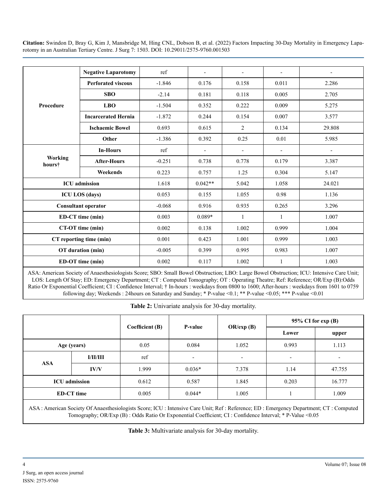|                          | <b>Negative Laparotomy</b> | ref      |           | $\overline{\phantom{a}}$ | $\overline{\phantom{a}}$ |        |
|--------------------------|----------------------------|----------|-----------|--------------------------|--------------------------|--------|
|                          | <b>Perforated viscous</b>  | $-1.846$ | 0.176     | 0.158                    | 0.011                    | 2.286  |
|                          | <b>SBO</b>                 | $-2.14$  | 0.181     | 0.118                    | 0.005                    | 2.705  |
| Procedure                | <b>LBO</b>                 | $-1.504$ | 0.352     | 0.222                    | 0.009                    | 5.275  |
|                          | <b>Incarcerated Hernia</b> | $-1.872$ | 0.244     | 0.154                    | 0.007                    | 3.577  |
|                          | <b>Ischaemic Bowel</b>     | 0.693    | 0.615     | 2                        | 0.134                    | 29.808 |
|                          | Other                      | $-1.386$ | 0.392     | 0.25                     | 0.01                     | 5.985  |
|                          | <b>In-Hours</b>            | ref      |           | $\overline{\phantom{a}}$ | $\overline{\phantom{a}}$ |        |
| <b>Working</b><br>hours† | <b>After-Hours</b>         | $-0.251$ | 0.738     | 0.778                    | 0.179                    | 3.387  |
|                          | Weekends                   | 0.223    | 0.757     | 1.25                     | 0.304                    | 5.147  |
|                          | <b>ICU</b> admission       | 1.618    | $0.042**$ | 5.042                    | 1.058                    | 24.021 |
|                          | <b>ICU LOS</b> (days)      | 0.053    | 0.155     | 1.055                    | 0.98                     | 1.136  |
|                          | <b>Consultant operator</b> | $-0.068$ | 0.916     | 0.935                    | 0.265                    | 3.296  |
|                          | ED-CT time (min)           |          | $0.089*$  | $\mathbf{1}$             | 1                        | 1.007  |
| CT-OT time (min)         |                            | 0.002    | 0.138     | 1.002                    | 0.999                    | 1.004  |
| CT reporting time (min)  |                            | 0.001    | 0.423     | 1.001                    | 0.999                    | 1.003  |
|                          | OT duration (min)          | $-0.005$ | 0.399     | 0.995                    | 0.983                    | 1.007  |
|                          | ED-OT time (min)           |          | 0.117     | 1.002                    | 1                        | 1.003  |

ASA: American Society of Anaesthesiologists Score; SBO: Small Bowel Obstruction; LBO: Large Bowel Obstruction; ICU: Intensive Care Unit; LOS: Length Of Stay; ED: Emergency Department; CT : Computed Tomography; OT : Operating Theatre; Ref: Reference; OR/Exp (B):Odds Ratio Or Exponential Coefficient; CI : Confidence Interval; † In-hours : weekdays from 0800 to 1600; After-hours : weekdays from 1601 to 0759 following day; Weekends : 24hours on Saturday and Sunday; \* P-value <0.1; \*\* P-value <0.05; \*\*\* P-value <0.01

**Table 2:** Univariate analysis for 30-day mortality.

|                                                                                                                                     |                 |                            |                          |                          | $95\%$ CI for exp (B)    |        |
|-------------------------------------------------------------------------------------------------------------------------------------|-----------------|----------------------------|--------------------------|--------------------------|--------------------------|--------|
|                                                                                                                                     |                 | Coefficient (B)<br>P-value |                          | OR/exp(B)                | Lower                    | upper  |
| Age (years)                                                                                                                         |                 | 0.05                       | 0.084                    | 1.052                    | 0.993                    | 1.113  |
| <b>ASA</b>                                                                                                                          | <b>I/II/III</b> | ref                        | $\overline{\phantom{a}}$ | $\overline{\phantom{a}}$ | $\overline{\phantom{a}}$ |        |
|                                                                                                                                     | IV/V            | 1.999                      | $0.036*$                 | 7.378                    | 1.14                     | 47.755 |
| <b>ICU</b> admission                                                                                                                |                 | 0.612                      | 0.587                    | 1.845                    | 0.203                    | 16.777 |
| <b>ED-CT</b> time                                                                                                                   |                 | 0.005                      | $0.044*$                 | 1.005                    |                          | 1.009  |
| ASA: American Society Of Anaesthesiologists Score; ICU: Intensive Care Unit; Ref: Reference; ED: Emergency Department; CT: Computed |                 |                            |                          |                          |                          |        |

Tomography; OR/Exp (B) : Odds Ratio Or Exponential Coefficient; CI : Confidence Interval; \* P-Value <0.05

**Table 3:** Multivariate analysis for 30-day mortality.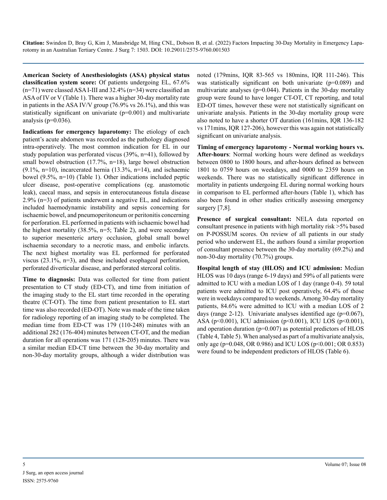**American Society of Anesthesiologists (ASA) physical status classification system score:** Of patients undergoing EL, 67.6% (n=71) were classed ASA I-III and 32.4% (n=34) were classified an ASA of IV or V (Table 1). There was a higher 30-day mortality rate in patients in the ASA IV/V group (76.9% vs 26.1%), and this was statistically significant on univariate (p=0.001) and multivariate analysis ( $p=0.036$ ).

**Indications for emergency laparotomy:** The etiology of each patient's acute abdomen was recorded as the pathology diagnosed intra-operatively. The most common indication for EL in our study population was perforated viscus (39%, n=41), followed by small bowel obstruction (17.7%, n=18), large bowel obstruction  $(9.1\%, n=10)$ , incarcerated hernia  $(13.3\%, n=14)$ , and ischaemic bowel (9.5%, n=10) (Table 1). Other indications included peptic ulcer disease, post-operative complications (eg. anastomotic leak), caecal mass, and sepsis in enterocutaneous fistula disease 2.9% (n=3) of patients underwent a negative EL, and indications included haemodynamic instability and sepsis concerning for ischaemic bowel, and pneumoperitoneum or peritonitis concerning for perforation. EL performed in patients with ischaemic bowel had the highest mortality  $(38.5\%, n=5; \text{ Table } 2)$ , and were secondary to superior mesenteric artery occlusion, global small bowel ischaemia secondary to a necrotic mass, and embolic infarcts. The next highest mortality was EL performed for perforated viscus (23.1%, n=3), and these included esophageal perforation, perforated diverticular disease, and perforated stercoral colitis.

**Time to diagnosis:** Data was collected for time from patient presentation to CT study (ED-CT), and time from initiation of the imaging study to the EL start time recorded in the operating theatre (CT-OT). The time from patient presentation to EL start time was also recorded (ED-OT). Note was made of the time taken for radiology reporting of an imaging study to be completed. The median time from ED-CT was 179 (110-248) minutes with an additional 282 (176-404) minutes between CT-OT, and the median duration for all operations was 171 (128-205) minutes. There was a similar median ED-CT time between the 30-day mortality and non-30-day mortality groups, although a wider distribution was

noted (179mins, IQR 83-565 vs 180mins, IQR 111-246). This was statistically significant on both univariate (p=0.089) and multivariate analyses ( $p=0.044$ ). Patients in the 30-day mortality group were found to have longer CT-OT, CT reporting, and total ED-OT times, however these were not statistically significant on univariate analysis. Patients in the 30-day mortality group were also noted to have a shorter OT duration (161mins, IQR 136-182 vs 171mins, IQR 127-206), however this was again not statistically significant on univariate analysis.

**Timing of emergency laparotomy - Normal working hours vs. After-hours**: Normal working hours were defined as weekdays between 0800 to 1800 hours, and after-hours defined as between 1801 to 0759 hours on weekdays, and 0000 to 2359 hours on weekends. There was no statistically significant difference in mortality in patients undergoing EL during normal working hours in comparison to EL performed after-hours (Table 1), which has also been found in other studies critically assessing emergency surgery [7,8].

**Presence of surgical consultant:** NELA data reported on consultant presence in patients with high mortality risk >5% based on P-POSSUM scores. On review of all patients in our study period who underwent EL, the authors found a similar proportion of consultant presence between the 30-day mortality (69.2%) and non-30-day mortality (70.7%) groups.

**Hospital length of stay (HLOS) and ICU admission:** Median HLOS was 10 days (range 6-19 days) and 59% of all patients were admitted to ICU with a median LOS of 1 day (range 0-4). 59 total patients were admitted to ICU post operatively, 64.4% of those were in weekdays compared to weekends. Among 30-day mortality patients, 84.6% were admitted to ICU with a median LOS of 2 days (range 2-12). Univariate analyses identified age (p=0.067), ASA (p<0.001), ICU admission (p<0.001), ICU LOS (p<0.001), and operation duration (p=0.007) as potential predictors of HLOS (Table 4, Table 5). When analysed as part of a multivariate analysis, only age (p=0.048, OR 0.986) and ICU LOS (p<0.001; OR 0.853) were found to be independent predictors of HLOS (Table 6).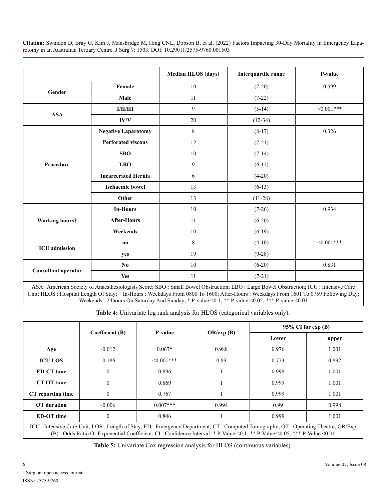|                            |                            | <b>Median HLOS (days)</b> | Interquartile range | P-value       |
|----------------------------|----------------------------|---------------------------|---------------------|---------------|
|                            | Female                     | $10\,$                    | $(7-20)$            | 0.599         |
| Gender                     | Male                       | 11                        | $(7-22)$            |               |
|                            | I/II/III                   | 9                         | $(5-14)$            | $< 0.001$ *** |
| <b>ASA</b>                 | IV/V                       | 20                        | $(12-34)$           |               |
|                            | <b>Negative Laparotomy</b> | 8                         | $(8-17)$            | 0.326         |
|                            | <b>Perforated viscous</b>  | 12                        | $(7-21)$            |               |
|                            | <b>SBO</b>                 | 10                        | $(7-14)$            |               |
| Procedure                  | <b>LBO</b>                 | 9                         | $(6-11)$            |               |
|                            | <b>Incarcerated Hernia</b> | 6                         | $(4-20)$            |               |
|                            | <b>Ischaemic bowel</b>     | 13                        | $(6-13)$            |               |
|                            | Other                      | 13                        | $(11-28)$           |               |
|                            | <b>In-Hours</b>            | 10                        | $(7-26)$            | 0.934         |
| Working hours†             | <b>After-Hours</b>         | 11                        | $(6-20)$            |               |
|                            | Weekends                   | 10                        | $(6-19)$            |               |
| <b>ICU</b> admission       | $\bf{no}$                  | 8                         | $(4-10)$            | $<0.001***$   |
|                            | yes                        | 19                        | $(9-28)$            |               |
|                            | N <sub>0</sub>             | 10                        | $(6-20)$            | 0.831         |
| <b>Consultant operator</b> | <b>Yes</b>                 | 11                        | $(7-21)$            |               |

ASA : American Society of Anaesthesiologists Score; SBO : Small Bowel Obstruction; LBO : Large Bowel Obstruction; ICU : Intensive Care Unit; HLOS : Hospital Length Of Stay; † In-Hours : Weekdays From 0800 To 1600; After-Hours : Weekdays From 1601 To 0759 Following Day; Weekends : 24hours On Saturday And Sunday; \* P-value <0.1; \*\* P-value <0.05; \*\*\* P-value <0.01

**Table 4:** Univariate log rank analysis for HLOS (categorical variables only).

|                                                                                                                                                                                                                                                                                                                                                                                                                                                                                                                         |                 |                  | OR/exp(B) | $95\%$ CI for exp (B) |       |  |
|-------------------------------------------------------------------------------------------------------------------------------------------------------------------------------------------------------------------------------------------------------------------------------------------------------------------------------------------------------------------------------------------------------------------------------------------------------------------------------------------------------------------------|-----------------|------------------|-----------|-----------------------|-------|--|
|                                                                                                                                                                                                                                                                                                                                                                                                                                                                                                                         | Coefficient (B) | P-value          |           | Lower                 | upper |  |
| Age                                                                                                                                                                                                                                                                                                                                                                                                                                                                                                                     | $-0.012$        | $0.067*$         | 0.988     | 0.976                 | 1.001 |  |
| <b>ICU LOS</b>                                                                                                                                                                                                                                                                                                                                                                                                                                                                                                          | $-0.186$        | $\leq 0.001$ *** | 0.83      | 0.773                 | 0.892 |  |
| <b>ED-CT</b> time                                                                                                                                                                                                                                                                                                                                                                                                                                                                                                       | $\mathbf{0}$    | 0.896            |           | 0.998                 | 1.001 |  |
| <b>CT-OT</b> time                                                                                                                                                                                                                                                                                                                                                                                                                                                                                                       | $\mathbf{0}$    | 0.869            |           | 0.999                 | 1.001 |  |
| CT reporting time                                                                                                                                                                                                                                                                                                                                                                                                                                                                                                       | $\mathbf{0}$    | 0.767            |           | 0.999                 | 1.001 |  |
| <b>OT</b> duration                                                                                                                                                                                                                                                                                                                                                                                                                                                                                                      | $-0.006$        | $0.007***$       | 0.994     | 0.99                  | 0.998 |  |
| <b>ED-OT</b> time                                                                                                                                                                                                                                                                                                                                                                                                                                                                                                       | $\mathbf{0}$    | 0.846            |           | 0.999                 | 1.001 |  |
| ICU: Intensive Care Unit; LOS: Length of Stay; ED: Emergency Department; CT: Computed Tomography; OT: Operating Theatre; OR/Exp<br>$\overline{a}$ $\overline{b}$ $\overline{c}$ $\overline{c}$ $\overline{c}$ $\overline{c}$ $\overline{c}$ $\overline{c}$ $\overline{c}$ $\overline{c}$ $\overline{c}$ $\overline{c}$ $\overline{c}$ $\overline{c}$ $\overline{c}$ $\overline{c}$ $\overline{c}$ $\overline{c}$ $\overline{c}$ $\overline{c}$ $\overline{c}$ $\overline{c}$ $\overline{c}$ $\overline{c}$ $\overline{$ |                 |                  |           |                       |       |  |

(B) : Odds Ratio Or Exponential Coefficient; CI : Confidence Interval; \* P-Value <0.1; \*\* P-Value <0.05; \*\*\* P-Value <0.01

**Table 5:** Univariate Cox regression analysis for HLOS (continuous variables).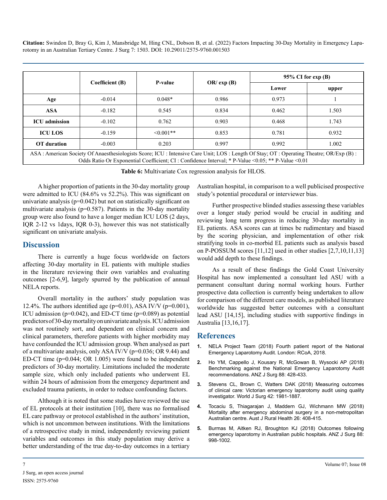|                                                                                                                                                                                                                                            |                 |                |              | $95\%$ CI for exp (B) |       |
|--------------------------------------------------------------------------------------------------------------------------------------------------------------------------------------------------------------------------------------------|-----------------|----------------|--------------|-----------------------|-------|
|                                                                                                                                                                                                                                            | Coefficient (B) | <b>P-value</b> | $OR/\exp(B)$ | Lower                 | upper |
| Age                                                                                                                                                                                                                                        | $-0.014$        | $0.048*$       | 0.986        | 0.973                 |       |
| <b>ASA</b>                                                                                                                                                                                                                                 | $-0.182$        | 0.545          | 0.834        | 0.462                 | 1.503 |
| <b>ICU</b> admission                                                                                                                                                                                                                       | $-0.102$        | 0.762          | 0.903        | 0.468                 | 1.743 |
| <b>ICU LOS</b>                                                                                                                                                                                                                             | $-0.159$        | $\leq 0.001**$ | 0.853        | 0.781                 | 0.932 |
| <b>OT</b> duration                                                                                                                                                                                                                         | $-0.003$        | 0.203          | 0.997        | 0.992                 | 1.002 |
| ASA: American Society Of Anaesthesiologists Score; ICU: Intensive Care Unit; LOS: Length Of Stay; OT: Operating Theatre; OR/Exp (B):<br>Odds Ratio Or Exponential Coefficient; CI : Confidence Interval; * P-Value <0.05; ** P-Value <0.01 |                 |                |              |                       |       |

**Table 6:** Multivariate Cox regression analysis for HLOS.

A higher proportion of patients in the 30-day mortality group were admitted to ICU (84.6% vs 52.2%). This was significant on univariate analysis ( $p=0.042$ ) but not on statistically significant on multivariate analysis (p=0.587). Patients in the 30-day mortality group were also found to have a longer median ICU LOS (2 days, IQR 2-12 vs 1days, IQR 0-3), however this was not statistically significant on univariate analysis.

#### **Discussion**

There is currently a huge focus worldwide on factors affecting 30-day mortality in EL patients with multiple studies in the literature reviewing their own variables and evaluating outcomes [2-6,9], largely spurred by the publication of annual NELA reports.

Overall mortality in the authors' study population was 12.4%. The authors identified age ( $p=0.01$ ), ASA IV/V ( $p=0.001$ ), ICU admission ( $p=0.042$ ), and ED-CT time ( $p=0.089$ ) as potential predictors of 30-day mortality on univariate analysis. ICU admission was not routinely sort, and dependent on clinical concern and clinical parameters, therefore patients with higher morbidity may have confounded the ICU admission group. When analysed as part of a multivariate analysis, only ASA IV/V (p=0.036; OR 9.44) and ED-CT time (p=0.044; OR 1.005) were found to be independent predictors of 30-day mortality. Limitations included the moderate sample size, which only included patients who underwent EL within 24 hours of admission from the emergency department and excluded trauma patients, in order to reduce confounding factors.

Although it is noted that some studies have reviewed the use of EL protocols at their institution [10], there was no formalised EL care pathway or protocol established in the authors' institution, which is not uncommon between institutions. With the limitations of a retrospective study in mind, independently reviewing patient variables and outcomes in this study population may derive a better understanding of the true day-to-day outcomes in a tertiary

Australian hospital, in comparison to a well publicised prospective study's potential procedural or interviewer bias.

Further prospective blinded studies assessing these variables over a longer study period would be crucial in auditing and reviewing long term progress in reducing 30-day mortality in EL patients. ASA scores can at times be rudimentary and biased by the scoring physician, and implementation of other risk stratifying tools in co-morbid EL patients such as analysis based on P-POSSUM scores [11,12] used in other studies [2,7,10,11,13] would add depth to these findings.

As a result of these findings the Gold Coast University Hospital has now implemented a consultant led ASU with a permanent consultant during normal working hours. Further prospective data collection is currently being undertaken to allow for comparison of the different care models, as published literature worldwide has suggested better outcomes with a consultant lead ASU [14,15], including studies with supportive findings in Australia [13,16,17].

#### **References**

- **1.** [NELA Project Team \(2018\) Fourth patient report of the National](http://www.nela.org.uk/reports)  [Emergency Laparotomy Audit. London: RCoA, 2018.](http://www.nela.org.uk/reports)
- **2.** [Ho YM, Cappello J, Kousary R, McGowan B, Wysocki AP \(2018\)](https://pubmed.ncbi.nlm.nih.gov/28929609/)  [Benchmarking against the National Emergency Laparotomy Audit](https://pubmed.ncbi.nlm.nih.gov/28929609/)  [recommendations. ANZ J Surg 88: 428-433.](https://pubmed.ncbi.nlm.nih.gov/28929609/)
- **3.** [Stevens CL, Brown C, Watters DAK \(2018\) Measuring outcomes](https://pubmed.ncbi.nlm.nih.gov/29282514/) [of clinical care: Victorian emergency laparotomy audit using quality](https://pubmed.ncbi.nlm.nih.gov/29282514/)  [investigator. World J Surg 42: 1981-1887.](https://pubmed.ncbi.nlm.nih.gov/29282514/)
- **4.** [Tocaciu S, Thiagarajan J, Maddern GJ, Wichmann MW \(2018\)](https://pubmed.ncbi.nlm.nih.gov/30474225/)  [Mortality after emergency abdominal surgery in a non-metropolitan](https://pubmed.ncbi.nlm.nih.gov/30474225/)  [Australian centre. Aust J Rural Health 26: 408-415.](https://pubmed.ncbi.nlm.nih.gov/30474225/)
- **5.** [Burmas M, Aitken RJ, Broughton KJ \(2018\) Outcomes following](https://pubmed.ncbi.nlm.nih.gov/30159997/)  [emergency laparotomy in Australian public hospitals. ANZ J Surg 88:](https://pubmed.ncbi.nlm.nih.gov/30159997/)  [998-1002.](https://pubmed.ncbi.nlm.nih.gov/30159997/)